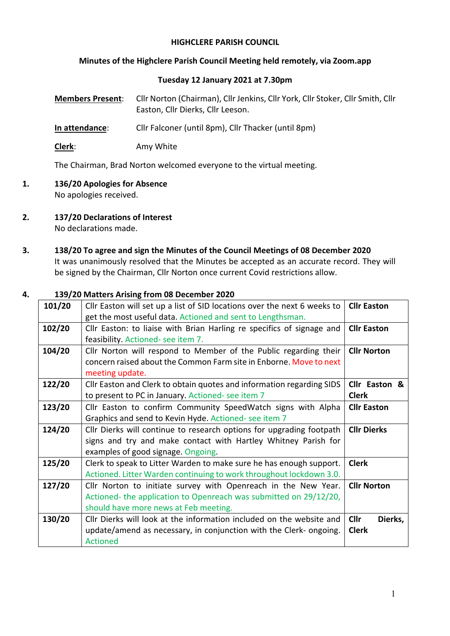### **HIGHCLERE PARISH COUNCIL**

#### **Minutes of the Highclere Parish Council Meeting held remotely, via Zoom.app**

#### **Tuesday 12 January 2021 at 7.30pm**

| <b>Members Present:</b> | Cllr Norton (Chairman), Cllr Jenkins, Cllr York, Cllr Stoker, Cllr Smith, Cllr<br>Easton, Cllr Dierks, Cllr Leeson. |  |  |  |
|-------------------------|---------------------------------------------------------------------------------------------------------------------|--|--|--|
| In attendance:          | Cllr Falconer (until 8pm), Cllr Thacker (until 8pm)                                                                 |  |  |  |

**Clerk**: Amy White

The Chairman, Brad Norton welcomed everyone to the virtual meeting.

- **1. 136/20 Apologies for Absence** No apologies received.
- **2. 137/20 Declarations of Interest**

No declarations made.

**3. 138/20 To agree and sign the Minutes of the Council Meetings of 08 December 2020** It was unanimously resolved that the Minutes be accepted as an accurate record. They will be signed by the Chairman, Cllr Norton once current Covid restrictions allow.

### **4. 139/20 Matters Arising from 08 December 2020**

| 101/20 | Cllr Easton will set up a list of SID locations over the next 6 weeks to<br><b>Cllr Easton</b> |                        |  |  |
|--------|------------------------------------------------------------------------------------------------|------------------------|--|--|
|        | get the most useful data. Actioned and sent to Lengthsman.                                     |                        |  |  |
| 102/20 | Cllr Easton: to liaise with Brian Harling re specifics of signage and                          | <b>Cllr Easton</b>     |  |  |
|        | feasibility. Actioned- see item 7.                                                             |                        |  |  |
| 104/20 | Cllr Norton will respond to Member of the Public regarding their                               | <b>Cllr Norton</b>     |  |  |
|        | concern raised about the Common Farm site in Enborne. Move to next                             |                        |  |  |
|        | meeting update.                                                                                |                        |  |  |
| 122/20 | Cllr Easton and Clerk to obtain quotes and information regarding SIDS                          | Cllr Easton &          |  |  |
|        | to present to PC in January. Actioned- see item 7                                              | <b>Clerk</b>           |  |  |
| 123/20 | Cllr Easton to confirm Community SpeedWatch signs with Alpha                                   | <b>Cllr Easton</b>     |  |  |
|        | Graphics and send to Kevin Hyde. Actioned- see item 7                                          |                        |  |  |
| 124/20 | Cllr Dierks will continue to research options for upgrading footpath                           | <b>Cllr Dierks</b>     |  |  |
|        | signs and try and make contact with Hartley Whitney Parish for                                 |                        |  |  |
|        | examples of good signage. Ongoing.                                                             |                        |  |  |
| 125/20 | Clerk to speak to Litter Warden to make sure he has enough support.                            | <b>Clerk</b>           |  |  |
|        | Actioned. Litter Warden continuing to work throughout lockdown 3.0.                            |                        |  |  |
| 127/20 | Cllr Norton to initiate survey with Openreach in the New Year.                                 | <b>Cllr Norton</b>     |  |  |
|        | Actioned- the application to Openreach was submitted on 29/12/20,                              |                        |  |  |
|        | should have more news at Feb meeting.                                                          |                        |  |  |
| 130/20 | Cllr Dierks will look at the information included on the website and                           | <b>Cllr</b><br>Dierks, |  |  |
|        | update/amend as necessary, in conjunction with the Clerk- ongoing.                             | <b>Clerk</b>           |  |  |
|        | <b>Actioned</b>                                                                                |                        |  |  |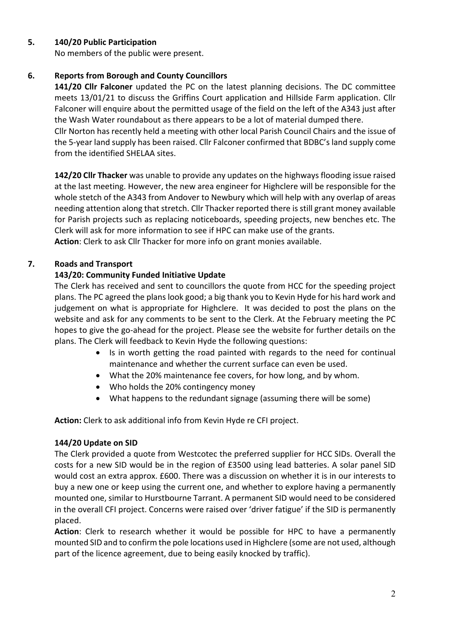# **5. 140/20 Public Participation**

No members of the public were present.

# **6. Reports from Borough and County Councillors**

**141/20 Cllr Falconer** updated the PC on the latest planning decisions. The DC committee meets 13/01/21 to discuss the Griffins Court application and Hillside Farm application. Cllr Falconer will enquire about the permitted usage of the field on the left of the A343 just after the Wash Water roundabout as there appears to be a lot of material dumped there.

Cllr Norton has recently held a meeting with other local Parish Council Chairs and the issue of the 5-year land supply has been raised. Cllr Falconer confirmed that BDBC's land supply come from the identified SHELAA sites.

**142/20 Cllr Thacker** was unable to provide any updates on the highways flooding issue raised at the last meeting. However, the new area engineer for Highclere will be responsible for the whole stetch of the A343 from Andover to Newbury which will help with any overlap of areas needing attention along that stretch. Cllr Thacker reported there is still grant money available for Parish projects such as replacing noticeboards, speeding projects, new benches etc. The Clerk will ask for more information to see if HPC can make use of the grants. **Action**: Clerk to ask Cllr Thacker for more info on grant monies available.

# **7. Roads and Transport**

# **143/20: Community Funded Initiative Update**

The Clerk has received and sent to councillors the quote from HCC for the speeding project plans. The PC agreed the plans look good; a big thank you to Kevin Hyde for his hard work and judgement on what is appropriate for Highclere. It was decided to post the plans on the website and ask for any comments to be sent to the Clerk. At the February meeting the PC hopes to give the go-ahead for the project. Please see the website for further details on the plans. The Clerk will feedback to Kevin Hyde the following questions:

- Is in worth getting the road painted with regards to the need for continual maintenance and whether the current surface can even be used.
- What the 20% maintenance fee covers, for how long, and by whom.
- Who holds the 20% contingency money
- What happens to the redundant signage (assuming there will be some)

**Action:** Clerk to ask additional info from Kevin Hyde re CFI project.

### **144/20 Update on SID**

The Clerk provided a quote from Westcotec the preferred supplier for HCC SIDs. Overall the costs for a new SID would be in the region of £3500 using lead batteries. A solar panel SID would cost an extra approx. £600. There was a discussion on whether it is in our interests to buy a new one or keep using the current one, and whether to explore having a permanently mounted one, similar to Hurstbourne Tarrant. A permanent SID would need to be considered in the overall CFI project. Concerns were raised over 'driver fatigue' if the SID is permanently placed.

**Action**: Clerk to research whether it would be possible for HPC to have a permanently mounted SID and to confirm the pole locations used in Highclere (some are not used, although part of the licence agreement, due to being easily knocked by traffic).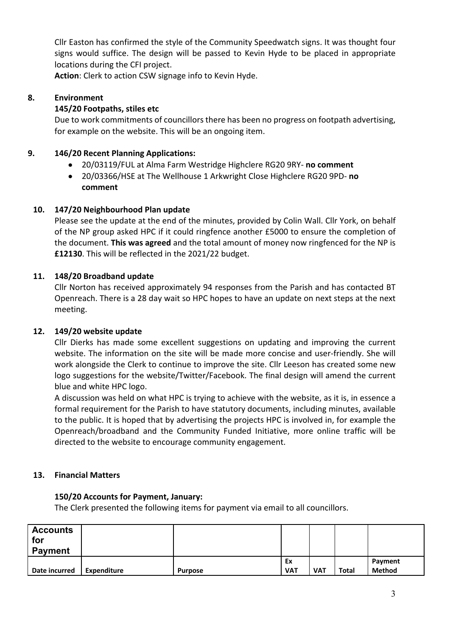Cllr Easton has confirmed the style of the Community Speedwatch signs. It was thought four signs would suffice. The design will be passed to Kevin Hyde to be placed in appropriate locations during the CFI project.

**Action**: Clerk to action CSW signage info to Kevin Hyde.

# **8. Environment**

### **145/20 Footpaths, stiles etc**

Due to work commitments of councillors there has been no progress on footpath advertising, for example on the website. This will be an ongoing item.

### **9. 146/20 Recent Planning Applications:**

- 20/03119/FUL at Alma Farm Westridge Highclere RG20 9RY- **no comment**
- 20/03366/HSE at The Wellhouse 1 Arkwright Close Highclere RG20 9PD- **no comment**

# **10. 147/20 Neighbourhood Plan update**

Please see the update at the end of the minutes, provided by Colin Wall. Cllr York, on behalf of the NP group asked HPC if it could ringfence another £5000 to ensure the completion of the document. **This was agreed** and the total amount of money now ringfenced for the NP is **£12130**. This will be reflected in the 2021/22 budget.

# **11. 148/20 Broadband update**

Cllr Norton has received approximately 94 responses from the Parish and has contacted BT Openreach. There is a 28 day wait so HPC hopes to have an update on next steps at the next meeting.

### **12. 149/20 website update**

Cllr Dierks has made some excellent suggestions on updating and improving the current website. The information on the site will be made more concise and user-friendly. She will work alongside the Clerk to continue to improve the site. Cllr Leeson has created some new logo suggestions for the website/Twitter/Facebook. The final design will amend the current blue and white HPC logo.

A discussion was held on what HPC is trying to achieve with the website, as it is, in essence a formal requirement for the Parish to have statutory documents, including minutes, available to the public. It is hoped that by advertising the projects HPC is involved in, for example the Openreach/broadband and the Community Funded Initiative, more online traffic will be directed to the website to encourage community engagement.

### **13. Financial Matters**

### **150/20 Accounts for Payment, January:**

The Clerk presented the following items for payment via email to all councillors.

| <b>Accounts</b><br>for<br><b>Payment</b> |             |                |                  |            |       |                          |
|------------------------------------------|-------------|----------------|------------------|------------|-------|--------------------------|
| Date incurred                            | Expenditure | <b>Purpose</b> | Ex<br><b>VAT</b> | <b>VAT</b> | Total | Payment<br><b>Method</b> |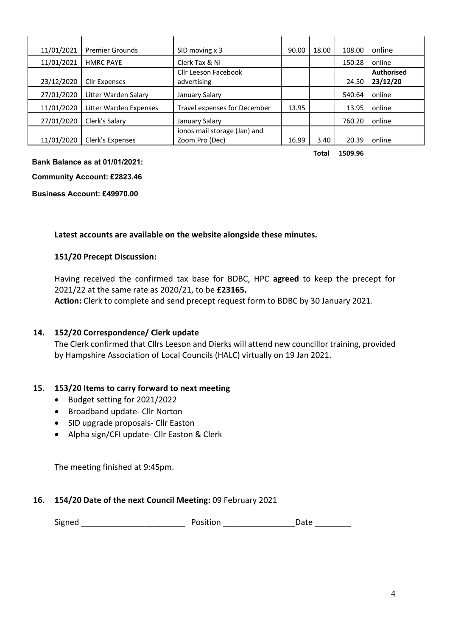| 11/01/2021 | <b>Premier Grounds</b> | SID moving x 3                                 | 90.00 | 18.00 | 108.00 | online                        |
|------------|------------------------|------------------------------------------------|-------|-------|--------|-------------------------------|
| 11/01/2021 | <b>HMRC PAYE</b>       | Clerk Tax & NI                                 |       |       | 150.28 | online                        |
| 23/12/2020 | <b>Cllr Expenses</b>   | <b>Cllr Leeson Facebook</b><br>advertising     |       |       | 24.50  | <b>Authorised</b><br>23/12/20 |
| 27/01/2020 | Litter Warden Salary   | January Salary                                 |       |       | 540.64 | online                        |
| 11/01/2020 | Litter Warden Expenses | Travel expenses for December                   | 13.95 |       | 13.95  | online                        |
| 27/01/2020 | Clerk's Salary         | January Salary                                 |       |       | 760.20 | online                        |
| 11/01/2020 | Clerk's Expenses       | ionos mail storage (Jan) and<br>Zoom.Pro (Dec) | 16.99 | 3.40  | 20.39  | online                        |

**Total 1509.96**

#### **Bank Balance as at 01/01/2021:**

**Community Account: £2823.46**

**Business Account: £49970.00**

#### **Latest accounts are available on the website alongside these minutes.**

#### **151/20 Precept Discussion:**

Having received the confirmed tax base for BDBC, HPC **agreed** to keep the precept for 2021/22 at the same rate as 2020/21, to be **£23165.**

**Action:** Clerk to complete and send precept request form to BDBC by 30 January 2021.

#### **14. 152/20 Correspondence/ Clerk update**

The Clerk confirmed that Cllrs Leeson and Dierks will attend new councillor training, provided by Hampshire Association of Local Councils (HALC) virtually on 19 Jan 2021.

#### **15. 153/20 Items to carry forward to next meeting**

- Budget setting for 2021/2022
- Broadband update- Cllr Norton
- SID upgrade proposals- Cllr Easton
- Alpha sign/CFI update- Cllr Easton & Clerk

The meeting finished at 9:45pm.

#### **16. 154/20 Date of the next Council Meeting:** 09 February 2021

Signed \_\_\_\_\_\_\_\_\_\_\_\_\_\_\_\_\_\_\_\_\_\_\_ Position \_\_\_\_\_\_\_\_\_\_\_\_\_\_\_\_Date \_\_\_\_\_\_\_\_

| osition | Date |  |
|---------|------|--|
|         |      |  |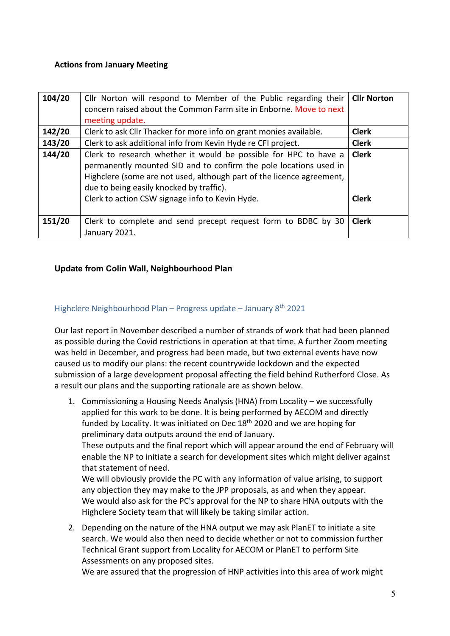### **Actions from January Meeting**

| 104/20 | Cllr Norton will respond to Member of the Public regarding their<br>concern raised about the Common Farm site in Enborne. Move to next<br>meeting update.                                                                                                  | <b>Cllr Norton</b> |
|--------|------------------------------------------------------------------------------------------------------------------------------------------------------------------------------------------------------------------------------------------------------------|--------------------|
| 142/20 | Clerk to ask Cllr Thacker for more info on grant monies available.                                                                                                                                                                                         | <b>Clerk</b>       |
| 143/20 | Clerk to ask additional info from Kevin Hyde re CFI project.                                                                                                                                                                                               | <b>Clerk</b>       |
| 144/20 | Clerk to research whether it would be possible for HPC to have a<br>permanently mounted SID and to confirm the pole locations used in<br>Highclere (some are not used, although part of the licence agreement,<br>due to being easily knocked by traffic). | <b>Clerk</b>       |
|        | Clerk to action CSW signage info to Kevin Hyde.                                                                                                                                                                                                            | <b>Clerk</b>       |
| 151/20 | Clerk to complete and send precept request form to BDBC by 30<br>January 2021.                                                                                                                                                                             | <b>Clerk</b>       |

### **Update from Colin Wall, Neighbourhood Plan**

### Highclere Neighbourhood Plan – Progress update – January 8<sup>th</sup> 2021

Our last report in November described a number of strands of work that had been planned as possible during the Covid restrictions in operation at that time. A further Zoom meeting was held in December, and progress had been made, but two external events have now caused us to modify our plans: the recent countrywide lockdown and the expected submission of a large development proposal affecting the field behind Rutherford Close. As a result our plans and the supporting rationale are as shown below.

1. Commissioning a Housing Needs Analysis (HNA) from Locality – we successfully applied for this work to be done. It is being performed by AECOM and directly funded by Locality. It was initiated on Dec  $18<sup>th</sup>$  2020 and we are hoping for preliminary data outputs around the end of January.

These outputs and the final report which will appear around the end of February will enable the NP to initiate a search for development sites which might deliver against that statement of need.

We will obviously provide the PC with any information of value arising, to support any objection they may make to the JPP proposals, as and when they appear. We would also ask for the PC's approval for the NP to share HNA outputs with the Highclere Society team that will likely be taking similar action.

2. Depending on the nature of the HNA output we may ask PlanET to initiate a site search. We would also then need to decide whether or not to commission further Technical Grant support from Locality for AECOM or PlanET to perform Site Assessments on any proposed sites.

We are assured that the progression of HNP activities into this area of work might